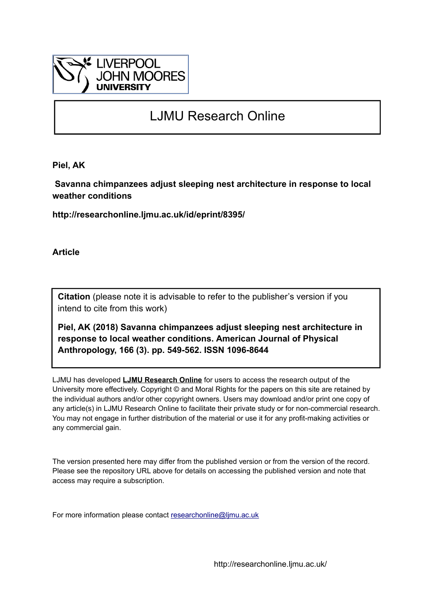

# LJMU Research Online

**Piel, AK**

 **Savanna chimpanzees adjust sleeping nest architecture in response to local weather conditions**

**http://researchonline.ljmu.ac.uk/id/eprint/8395/**

**Article**

**Citation** (please note it is advisable to refer to the publisher's version if you intend to cite from this work)

**Piel, AK (2018) Savanna chimpanzees adjust sleeping nest architecture in response to local weather conditions. American Journal of Physical Anthropology, 166 (3). pp. 549-562. ISSN 1096-8644** 

LJMU has developed **[LJMU Research Online](http://researchonline.ljmu.ac.uk/)** for users to access the research output of the University more effectively. Copyright © and Moral Rights for the papers on this site are retained by the individual authors and/or other copyright owners. Users may download and/or print one copy of any article(s) in LJMU Research Online to facilitate their private study or for non-commercial research. You may not engage in further distribution of the material or use it for any profit-making activities or any commercial gain.

The version presented here may differ from the published version or from the version of the record. Please see the repository URL above for details on accessing the published version and note that access may require a subscription.

For more information please contact [researchonline@ljmu.ac.uk](mailto:researchonline@ljmu.ac.uk)

http://researchonline.ljmu.ac.uk/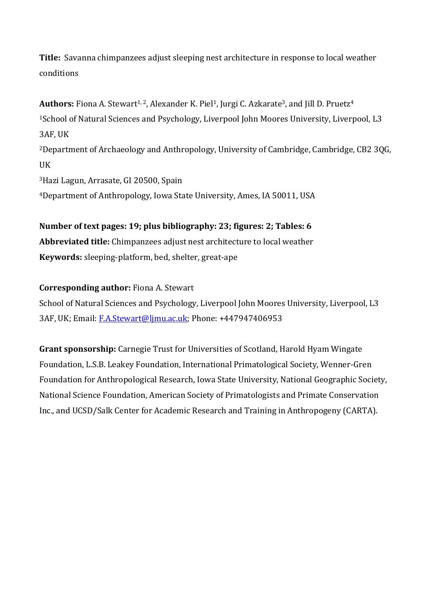**Title:** Savanna chimpanzees adjust sleeping nest architecture in response to local weather conditions

Authors: Fiona A. Stewart<sup>1, 2</sup>, Alexander K. Piel<sup>1</sup>, Jurgi C. Azkarate<sup>3</sup>, and Jill D. Pruetz<sup>4</sup> <sup>1</sup>School of Natural Sciences and Psychology, Liverpool John Moores University, Liverpool, L3 3AF, UK <sup>2</sup>Department of Archaeology and Anthropology, University of Cambridge, Cambridge, CB2 3QG, UK

<sup>3</sup>Hazi Lagun, Arrasate, GI 20500, Spain

<sup>4</sup>Department of Anthropology, Iowa State University, Ames, IA 50011, USA

**Number of text pages: 19; plus bibliography: 23; figures: 2; Tables: 6 Abbreviated title:** Chimpanzees adjust nest architecture to local weather **Keywords:** sleeping-platform, bed, shelter, great-ape

# **Corresponding author:** Fiona A. Stewart

School of Natural Sciences and Psychology, Liverpool John Moores University, Liverpool, L3 3AF, UK; Email: [F.A.Stewart@ljmu.ac.uk;](mailto:F.A.Stewart@ljmu.ac.uk) Phone: +447947406953

**Grant sponsorship:** Carnegie Trust for Universities of Scotland, Harold Hyam Wingate Foundation, L.S.B. Leakey Foundation, International Primatological Society, Wenner-Gren Foundation for Anthropological Research, Iowa State University, National Geographic Society, National Science Foundation, American Society of Primatologists and Primate Conservation Inc., and UCSD/Salk Center for Academic Research and Training in Anthropogeny (CARTA).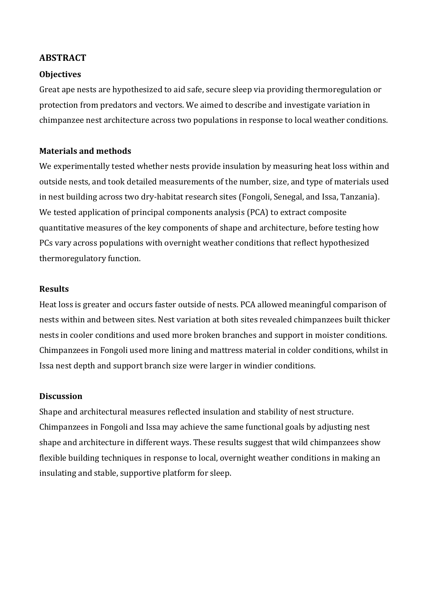# **ABSTRACT**

# **Objectives**

Great ape nests are hypothesized to aid safe, secure sleep via providing thermoregulation or protection from predators and vectors. We aimed to describe and investigate variation in chimpanzee nest architecture across two populations in response to local weather conditions.

# **Materials and methods**

We experimentally tested whether nests provide insulation by measuring heat loss within and outside nests, and took detailed measurements of the number, size, and type of materials used in nest building across two dry-habitat research sites (Fongoli, Senegal, and Issa, Tanzania). We tested application of principal components analysis (PCA) to extract composite quantitative measures of the key components of shape and architecture, before testing how PCs vary across populations with overnight weather conditions that reflect hypothesized thermoregulatory function.

# **Results**

Heat loss is greater and occurs faster outside of nests. PCA allowed meaningful comparison of nests within and between sites. Nest variation at both sites revealed chimpanzees built thicker nests in cooler conditions and used more broken branches and support in moister conditions. Chimpanzees in Fongoli used more lining and mattress material in colder conditions, whilst in Issa nest depth and support branch size were larger in windier conditions.

# **Discussion**

Shape and architectural measures reflected insulation and stability of nest structure. Chimpanzees in Fongoli and Issa may achieve the same functional goals by adjusting nest shape and architecture in different ways. These results suggest that wild chimpanzees show flexible building techniques in response to local, overnight weather conditions in making an insulating and stable, supportive platform for sleep.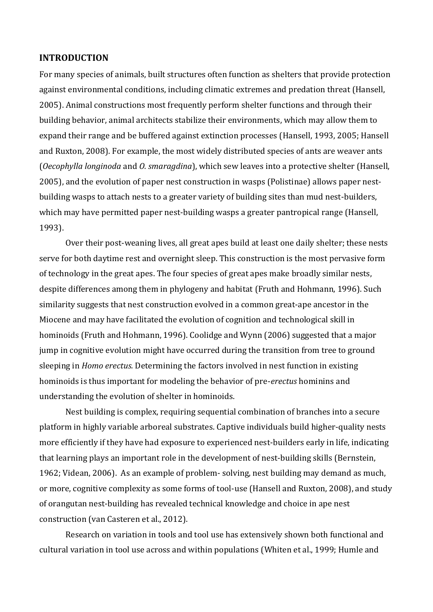## **INTRODUCTION**

For many species of animals, built structures often function as shelters that provide protection against environmental conditions, including climatic extremes and predation threat (Hansell, 2005). Animal constructions most frequently perform shelter functions and through their building behavior, animal architects stabilize their environments, which may allow them to expand their range and be buffered against extinction processes (Hansell, 1993, 2005; Hansell and Ruxton, 2008). For example, the most widely distributed species of ants are weaver ants (*Oecophylla longinoda* and *O. smaragdina*), which sew leaves into a protective shelter (Hansell, 2005), and the evolution of paper nest construction in wasps (Polistinae) allows paper nestbuilding wasps to attach nests to a greater variety of building sites than mud nest-builders, which may have permitted paper nest-building wasps a greater pantropical range (Hansell, 1993).

Over their post-weaning lives, all great apes build at least one daily shelter; these nests serve for both daytime rest and overnight sleep. This construction is the most pervasive form of technology in the great apes. The four species of great apes make broadly similar nests, despite differences among them in phylogeny and habitat (Fruth and Hohmann, 1996). Such similarity suggests that nest construction evolved in a common great-ape ancestor in the Miocene and may have facilitated the evolution of cognition and technological skill in hominoids (Fruth and Hohmann, 1996). Coolidge and Wynn (2006) suggested that a major jump in cognitive evolution might have occurred during the transition from tree to ground sleeping in *Homo erectus.* Determining the factors involved in nest function in existing hominoids is thus important for modeling the behavior of pre-*erectus* hominins and understanding the evolution of shelter in hominoids.

Nest building is complex, requiring sequential combination of branches into a secure platform in highly variable arboreal substrates. Captive individuals build higher-quality nests more efficiently if they have had exposure to experienced nest-builders early in life, indicating that learning plays an important role in the development of nest-building skills (Bernstein, 1962; Videan, 2006). As an example of problem- solving, nest building may demand as much, or more, cognitive complexity as some forms of tool-use (Hansell and Ruxton, 2008), and study of orangutan nest-building has revealed technical knowledge and choice in ape nest construction (van Casteren et al., 2012).

Research on variation in tools and tool use has extensively shown both functional and cultural variation in tool use across and within populations (Whiten et al., 1999; Humle and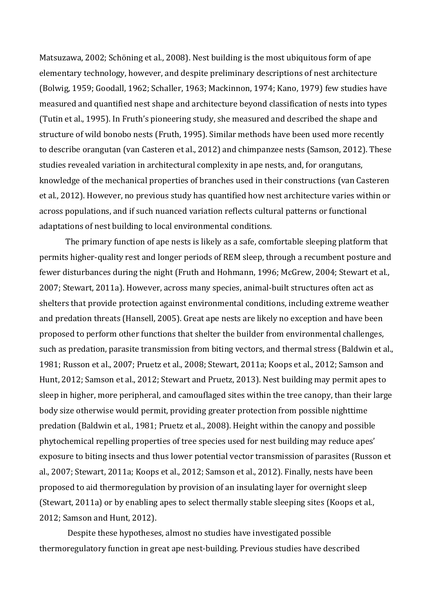Matsuzawa, 2002; Schöning et al., 2008). Nest building is the most ubiquitous form of ape elementary technology, however, and despite preliminary descriptions of nest architecture (Bolwig, 1959; Goodall, 1962; Schaller, 1963; Mackinnon, 1974; Kano, 1979) few studies have measured and quantified nest shape and architecture beyond classification of nests into types (Tutin et al., 1995). In Fruth's pioneering study, she measured and described the shape and structure of wild bonobo nests (Fruth, 1995). Similar methods have been used more recently to describe orangutan (van Casteren et al., 2012) and chimpanzee nests (Samson, 2012). These studies revealed variation in architectural complexity in ape nests, and, for orangutans, knowledge of the mechanical properties of branches used in their constructions (van Casteren et al., 2012). However, no previous study has quantified how nest architecture varies within or across populations, and if such nuanced variation reflects cultural patterns or functional adaptations of nest building to local environmental conditions.

The primary function of ape nests is likely as a safe, comfortable sleeping platform that permits higher-quality rest and longer periods of REM sleep, through a recumbent posture and fewer disturbances during the night (Fruth and Hohmann, 1996; McGrew, 2004; Stewart et al., 2007; Stewart, 2011a). However, across many species, animal-built structures often act as shelters that provide protection against environmental conditions, including extreme weather and predation threats (Hansell, 2005). Great ape nests are likely no exception and have been proposed to perform other functions that shelter the builder from environmental challenges, such as predation, parasite transmission from biting vectors, and thermal stress (Baldwin et al., 1981; Russon et al., 2007; Pruetz et al., 2008; Stewart, 2011a; Koops et al., 2012; Samson and Hunt, 2012; Samson et al., 2012; Stewart and Pruetz, 2013). Nest building may permit apes to sleep in higher, more peripheral, and camouflaged sites within the tree canopy, than their large body size otherwise would permit, providing greater protection from possible nighttime predation (Baldwin et al., 1981; Pruetz et al., 2008). Height within the canopy and possible phytochemical repelling properties of tree species used for nest building may reduce apes' exposure to biting insects and thus lower potential vector transmission of parasites (Russon et al., 2007; Stewart, 2011a; Koops et al., 2012; Samson et al., 2012). Finally, nests have been proposed to aid thermoregulation by provision of an insulating layer for overnight sleep (Stewart, 2011a) or by enabling apes to select thermally stable sleeping sites (Koops et al., 2012; Samson and Hunt, 2012).

Despite these hypotheses, almost no studies have investigated possible thermoregulatory function in great ape nest-building. Previous studies have described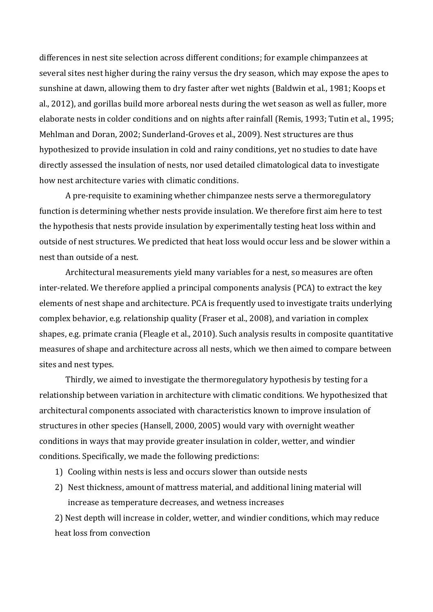differences in nest site selection across different conditions; for example chimpanzees at several sites nest higher during the rainy versus the dry season, which may expose the apes to sunshine at dawn, allowing them to dry faster after wet nights (Baldwin et al., 1981; Koops et al., 2012), and gorillas build more arboreal nests during the wet season as well as fuller, more elaborate nests in colder conditions and on nights after rainfall (Remis, 1993; Tutin et al., 1995; Mehlman and Doran, 2002; Sunderland-Groves et al., 2009). Nest structures are thus hypothesized to provide insulation in cold and rainy conditions, yet no studies to date have directly assessed the insulation of nests, nor used detailed climatological data to investigate how nest architecture varies with climatic conditions.

A pre-requisite to examining whether chimpanzee nests serve a thermoregulatory function is determining whether nests provide insulation. We therefore first aim here to test the hypothesis that nests provide insulation by experimentally testing heat loss within and outside of nest structures. We predicted that heat loss would occur less and be slower within a nest than outside of a nest.

Architectural measurements yield many variables for a nest, so measures are often inter-related. We therefore applied a principal components analysis (PCA) to extract the key elements of nest shape and architecture. PCA is frequently used to investigate traits underlying complex behavior, e.g. relationship quality (Fraser et al., 2008), and variation in complex shapes, e.g. primate crania (Fleagle et al., 2010). Such analysis results in composite quantitative measures of shape and architecture across all nests, which we then aimed to compare between sites and nest types.

Thirdly, we aimed to investigate the thermoregulatory hypothesis by testing for a relationship between variation in architecture with climatic conditions. We hypothesized that architectural components associated with characteristics known to improve insulation of structures in other species (Hansell, 2000, 2005) would vary with overnight weather conditions in ways that may provide greater insulation in colder, wetter, and windier conditions. Specifically, we made the following predictions:

- 1) Cooling within nests is less and occurs slower than outside nests
- 2) Nest thickness, amount of mattress material, and additional lining material will increase as temperature decreases, and wetness increases

2) Nest depth will increase in colder, wetter, and windier conditions, which may reduce heat loss from convection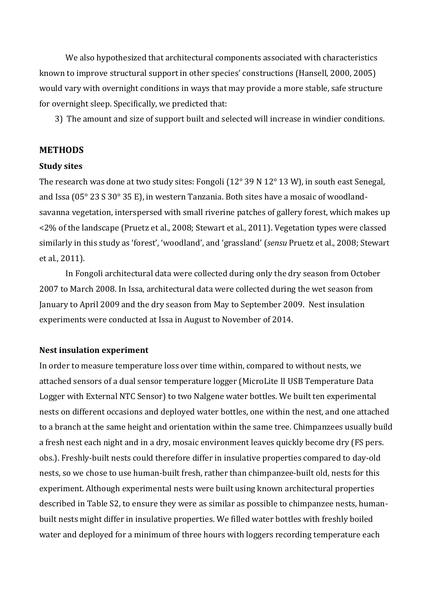We also hypothesized that architectural components associated with characteristics known to improve structural support in other species' constructions (Hansell, 2000, 2005) would vary with overnight conditions in ways that may provide a more stable, safe structure for overnight sleep. Specifically, we predicted that:

3) The amount and size of support built and selected will increase in windier conditions.

## **METHODS**

#### **Study sites**

The research was done at two study sites: Fongoli (12° 39 N 12° 13 W), in south east Senegal, and Issa (05° 23 S 30° 35 E), in western Tanzania. Both sites have a mosaic of woodlandsavanna vegetation, interspersed with small riverine patches of gallery forest, which makes up <2% of the landscape (Pruetz et al., 2008; Stewart et al., 2011). Vegetation types were classed similarly in this study as 'forest', 'woodland', and 'grassland' (*sensu* Pruetz et al., 2008; Stewart et al., 2011).

In Fongoli architectural data were collected during only the dry season from October 2007 to March 2008. In Issa, architectural data were collected during the wet season from January to April 2009 and the dry season from May to September 2009. Nest insulation experiments were conducted at Issa in August to November of 2014.

#### **Nest insulation experiment**

In order to measure temperature loss over time within, compared to without nests, we attached sensors of a dual sensor temperature logger (MicroLite II USB Temperature Data Logger with External NTC Sensor) to two Nalgene water bottles. We built ten experimental nests on different occasions and deployed water bottles, one within the nest, and one attached to a branch at the same height and orientation within the same tree. Chimpanzees usually build a fresh nest each night and in a dry, mosaic environment leaves quickly become dry (FS pers. obs.). Freshly-built nests could therefore differ in insulative properties compared to day-old nests, so we chose to use human-built fresh, rather than chimpanzee-built old, nests for this experiment. Although experimental nests were built using known architectural properties described in Table S2, to ensure they were as similar as possible to chimpanzee nests, humanbuilt nests might differ in insulative properties. We filled water bottles with freshly boiled water and deployed for a minimum of three hours with loggers recording temperature each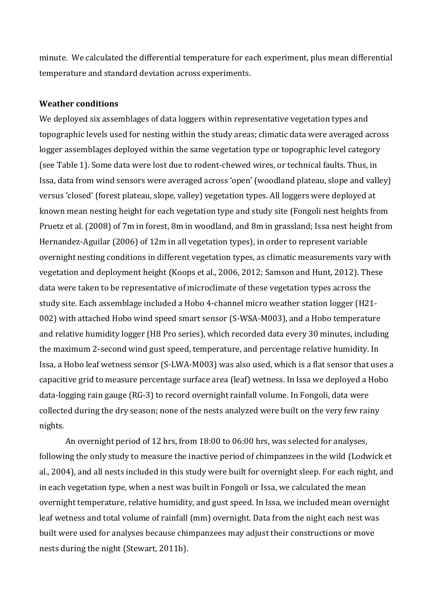minute. We calculated the differential temperature for each experiment, plus mean differential temperature and standard deviation across experiments.

## **Weather conditions**

We deployed six assemblages of data loggers within representative vegetation types and topographic levels used for nesting within the study areas; climatic data were averaged across logger assemblages deployed within the same vegetation type or topographic level category (see Table 1). Some data were lost due to rodent-chewed wires, or technical faults. Thus, in Issa, data from wind sensors were averaged across 'open' (woodland plateau, slope and valley) versus 'closed' (forest plateau, slope, valley) vegetation types. All loggers were deployed at known mean nesting height for each vegetation type and study site (Fongoli nest heights from Pruetz et al. (2008) of 7m in forest, 8m in woodland, and 8m in grassland; Issa nest height from Hernandez-Aguilar (2006) of 12m in all vegetation types), in order to represent variable overnight nesting conditions in different vegetation types, as climatic measurements vary with vegetation and deployment height (Koops et al., 2006, 2012; Samson and Hunt, 2012). These data were taken to be representative of microclimate of these vegetation types across the study site. Each assemblage included a Hobo 4-channel micro weather station logger (H21- 002) with attached Hobo wind speed smart sensor (S-WSA-M003), and a Hobo temperature and relative humidity logger (H8 Pro series), which recorded data every 30 minutes, including the maximum 2-second wind gust speed, temperature, and percentage relative humidity. In Issa, a Hobo leaf wetness sensor (S-LWA-M003) was also used, which is a flat sensor that uses a capacitive grid to measure percentage surface area (leaf) wetness. In Issa we deployed a Hobo data-logging rain gauge (RG-3) to record overnight rainfall volume. In Fongoli, data were collected during the dry season; none of the nests analyzed were built on the very few rainy nights.

An overnight period of 12 hrs, from 18:00 to 06:00 hrs, was selected for analyses, following the only study to measure the inactive period of chimpanzees in the wild (Lodwick et al., 2004), and all nests included in this study were built for overnight sleep. For each night, and in each vegetation type, when a nest was built in Fongoli or Issa, we calculated the mean overnight temperature, relative humidity, and gust speed. In Issa, we included mean overnight leaf wetness and total volume of rainfall (mm) overnight. Data from the night each nest was built were used for analyses because chimpanzees may adjust their constructions or move nests during the night (Stewart, 2011b).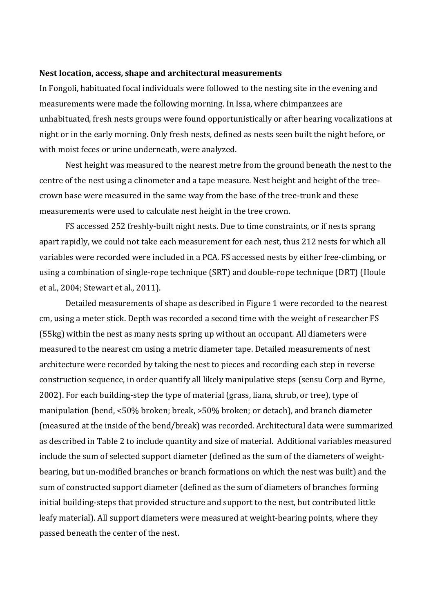#### **Nest location, access, shape and architectural measurements**

In Fongoli, habituated focal individuals were followed to the nesting site in the evening and measurements were made the following morning. In Issa, where chimpanzees are unhabituated, fresh nests groups were found opportunistically or after hearing vocalizations at night or in the early morning. Only fresh nests, defined as nests seen built the night before, or with moist feces or urine underneath, were analyzed.

Nest height was measured to the nearest metre from the ground beneath the nest to the centre of the nest using a clinometer and a tape measure. Nest height and height of the treecrown base were measured in the same way from the base of the tree-trunk and these measurements were used to calculate nest height in the tree crown.

FS accessed 252 freshly-built night nests. Due to time constraints, or if nests sprang apart rapidly, we could not take each measurement for each nest, thus 212 nests for which all variables were recorded were included in a PCA. FS accessed nests by either free-climbing, or using a combination of single-rope technique (SRT) and double-rope technique (DRT) (Houle et al., 2004; Stewart et al., 2011).

Detailed measurements of shape as described in Figure 1 were recorded to the nearest cm, using a meter stick. Depth was recorded a second time with the weight of researcher FS (55kg) within the nest as many nests spring up without an occupant. All diameters were measured to the nearest cm using a metric diameter tape. Detailed measurements of nest architecture were recorded by taking the nest to pieces and recording each step in reverse construction sequence, in order quantify all likely manipulative steps (sensu Corp and Byrne, 2002). For each building-step the type of material (grass, liana, shrub, or tree), type of manipulation (bend, <50% broken; break, >50% broken; or detach), and branch diameter (measured at the inside of the bend/break) was recorded. Architectural data were summarized as described in Table 2 to include quantity and size of material. Additional variables measured include the sum of selected support diameter (defined as the sum of the diameters of weightbearing, but un-modified branches or branch formations on which the nest was built) and the sum of constructed support diameter (defined as the sum of diameters of branches forming initial building-steps that provided structure and support to the nest, but contributed little leafy material). All support diameters were measured at weight-bearing points, where they passed beneath the center of the nest.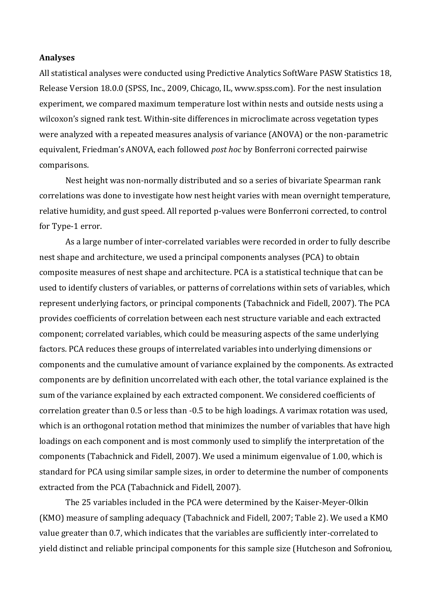#### **Analyses**

All statistical analyses were conducted using Predictive Analytics SoftWare PASW Statistics 18, Release Version 18.0.0 (SPSS, Inc., 2009, Chicago, IL, www.spss.com). For the nest insulation experiment, we compared maximum temperature lost within nests and outside nests using a wilcoxon's signed rank test. Within-site differences in microclimate across vegetation types were analyzed with a repeated measures analysis of variance (ANOVA) or the non-parametric equivalent, Friedman's ANOVA, each followed *post hoc* by Bonferroni corrected pairwise comparisons.

Nest height was non-normally distributed and so a series of bivariate Spearman rank correlations was done to investigate how nest height varies with mean overnight temperature, relative humidity, and gust speed. All reported p-values were Bonferroni corrected, to control for Type-1 error.

As a large number of inter-correlated variables were recorded in order to fully describe nest shape and architecture, we used a principal components analyses (PCA) to obtain composite measures of nest shape and architecture. PCA is a statistical technique that can be used to identify clusters of variables, or patterns of correlations within sets of variables, which represent underlying factors, or principal components (Tabachnick and Fidell, 2007). The PCA provides coefficients of correlation between each nest structure variable and each extracted component; correlated variables, which could be measuring aspects of the same underlying factors. PCA reduces these groups of interrelated variables into underlying dimensions or components and the cumulative amount of variance explained by the components. As extracted components are by definition uncorrelated with each other, the total variance explained is the sum of the variance explained by each extracted component. We considered coefficients of correlation greater than 0.5 or less than -0.5 to be high loadings. A varimax rotation was used, which is an orthogonal rotation method that minimizes the number of variables that have high loadings on each component and is most commonly used to simplify the interpretation of the components (Tabachnick and Fidell, 2007). We used a minimum eigenvalue of 1.00, which is standard for PCA using similar sample sizes, in order to determine the number of components extracted from the PCA (Tabachnick and Fidell, 2007).

The 25 variables included in the PCA were determined by the Kaiser-Meyer-Olkin (KMO) measure of sampling adequacy (Tabachnick and Fidell, 2007; Table 2). We used a KMO value greater than 0.7, which indicates that the variables are sufficiently inter-correlated to yield distinct and reliable principal components for this sample size (Hutcheson and Sofroniou,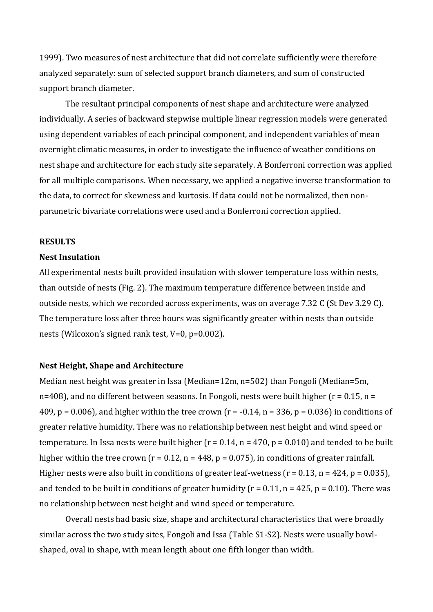1999). Two measures of nest architecture that did not correlate sufficiently were therefore analyzed separately: sum of selected support branch diameters, and sum of constructed support branch diameter.

The resultant principal components of nest shape and architecture were analyzed individually. A series of backward stepwise multiple linear regression models were generated using dependent variables of each principal component, and independent variables of mean overnight climatic measures, in order to investigate the influence of weather conditions on nest shape and architecture for each study site separately. A Bonferroni correction was applied for all multiple comparisons. When necessary, we applied a negative inverse transformation to the data, to correct for skewness and kurtosis. If data could not be normalized, then nonparametric bivariate correlations were used and a Bonferroni correction applied.

#### **RESULTS**

#### **Nest Insulation**

All experimental nests built provided insulation with slower temperature loss within nests, than outside of nests (Fig. 2). The maximum temperature difference between inside and outside nests, which we recorded across experiments, was on average 7.32 C (St Dev 3.29 C). The temperature loss after three hours was significantly greater within nests than outside nests (Wilcoxon's signed rank test, V=0, p=0.002).

#### **Nest Height, Shape and Architecture**

Median nest height was greater in Issa (Median=12m, n=502) than Fongoli (Median=5m, n=408), and no different between seasons. In Fongoli, nests were built higher ( $r = 0.15$ , n = 409, p = 0.006), and higher within the tree crown ( $r = -0.14$ ,  $n = 336$ ,  $p = 0.036$ ) in conditions of greater relative humidity. There was no relationship between nest height and wind speed or temperature. In Issa nests were built higher ( $r = 0.14$ ,  $n = 470$ ,  $p = 0.010$ ) and tended to be built higher within the tree crown ( $r = 0.12$ ,  $n = 448$ ,  $p = 0.075$ ), in conditions of greater rainfall. Higher nests were also built in conditions of greater leaf-wetness ( $r = 0.13$ ,  $n = 424$ ,  $p = 0.035$ ), and tended to be built in conditions of greater humidity ( $r = 0.11$ ,  $n = 425$ ,  $p = 0.10$ ). There was no relationship between nest height and wind speed or temperature.

Overall nests had basic size, shape and architectural characteristics that were broadly similar across the two study sites, Fongoli and Issa (Table S1-S2). Nests were usually bowlshaped, oval in shape, with mean length about one fifth longer than width.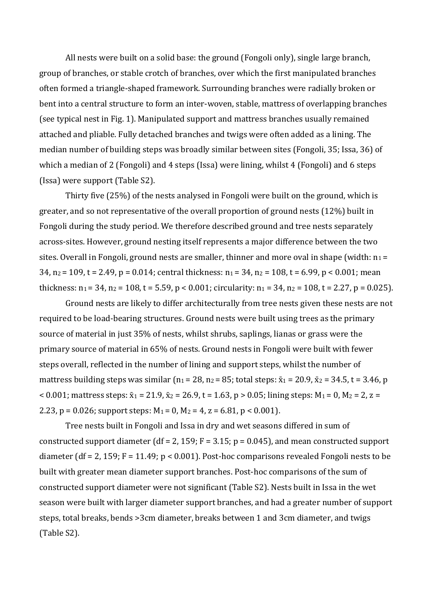All nests were built on a solid base: the ground (Fongoli only), single large branch, group of branches, or stable crotch of branches, over which the first manipulated branches often formed a triangle-shaped framework. Surrounding branches were radially broken or bent into a central structure to form an inter-woven, stable, mattress of overlapping branches (see typical nest in Fig. 1). Manipulated support and mattress branches usually remained attached and pliable. Fully detached branches and twigs were often added as a lining. The median number of building steps was broadly similar between sites (Fongoli, 35; Issa, 36) of which a median of 2 (Fongoli) and 4 steps (Issa) were lining, whilst 4 (Fongoli) and 6 steps (Issa) were support (Table S2).

Thirty five (25%) of the nests analysed in Fongoli were built on the ground, which is greater, and so not representative of the overall proportion of ground nests (12%) built in Fongoli during the study period. We therefore described ground and tree nests separately across-sites. However, ground nesting itself represents a major difference between the two sites. Overall in Fongoli, ground nests are smaller, thinner and more oval in shape (width:  $n_1 =$ 34,  $n_2$  = 109, t = 2.49, p = 0.014; central thickness:  $n_1$  = 34,  $n_2$  = 108, t = 6.99, p < 0.001; mean thickness:  $n_1 = 34$ ,  $n_2 = 108$ ,  $t = 5.59$ ,  $p < 0.001$ ; circularity:  $n_1 = 34$ ,  $n_2 = 108$ ,  $t = 2.27$ ,  $p = 0.025$ ).

Ground nests are likely to differ architecturally from tree nests given these nests are not required to be load-bearing structures. Ground nests were built using trees as the primary source of material in just 35% of nests, whilst shrubs, saplings, lianas or grass were the primary source of material in 65% of nests. Ground nests in Fongoli were built with fewer steps overall, reflected in the number of lining and support steps, whilst the number of mattress building steps was similar ( $n_1 = 28$ ,  $n_2 = 85$ ; total steps:  $\bar{x}_1 = 20.9$ ,  $\bar{x}_2 = 34.5$ , t = 3.46, p < 0.001; mattress steps:  $\bar{x}_1 = 21.9$ ,  $\bar{x}_2 = 26.9$ , t = 1.63, p > 0.05; lining steps: M<sub>1</sub> = 0, M<sub>2</sub> = 2, z = 2.23, p = 0.026; support steps:  $M_1 = 0$ ,  $M_2 = 4$ , z = 6.81, p < 0.001).

Tree nests built in Fongoli and Issa in dry and wet seasons differed in sum of constructed support diameter (df = 2, 159;  $F = 3.15$ ;  $p = 0.045$ ), and mean constructed support diameter (df = 2, 159; F = 11.49; p < 0.001). Post-hoc comparisons revealed Fongoli nests to be built with greater mean diameter support branches. Post-hoc comparisons of the sum of constructed support diameter were not significant (Table S2). Nests built in Issa in the wet season were built with larger diameter support branches, and had a greater number of support steps, total breaks, bends >3cm diameter, breaks between 1 and 3cm diameter, and twigs (Table S2).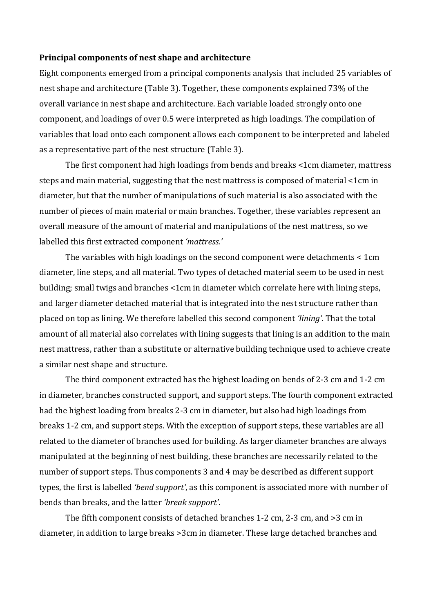#### **Principal components of nest shape and architecture**

Eight components emerged from a principal components analysis that included 25 variables of nest shape and architecture (Table 3). Together, these components explained 73% of the overall variance in nest shape and architecture. Each variable loaded strongly onto one component, and loadings of over 0.5 were interpreted as high loadings. The compilation of variables that load onto each component allows each component to be interpreted and labeled as a representative part of the nest structure (Table 3).

The first component had high loadings from bends and breaks <1cm diameter, mattress steps and main material, suggesting that the nest mattress is composed of material <1cm in diameter, but that the number of manipulations of such material is also associated with the number of pieces of main material or main branches. Together, these variables represent an overall measure of the amount of material and manipulations of the nest mattress, so we labelled this first extracted component *'mattress.'*

The variables with high loadings on the second component were detachments < 1cm diameter, line steps, and all material. Two types of detached material seem to be used in nest building; small twigs and branches <1cm in diameter which correlate here with lining steps, and larger diameter detached material that is integrated into the nest structure rather than placed on top as lining. We therefore labelled this second component *'lining'.* That the total amount of all material also correlates with lining suggests that lining is an addition to the main nest mattress, rather than a substitute or alternative building technique used to achieve create a similar nest shape and structure.

The third component extracted has the highest loading on bends of 2-3 cm and 1-2 cm in diameter, branches constructed support, and support steps. The fourth component extracted had the highest loading from breaks 2-3 cm in diameter, but also had high loadings from breaks 1-2 cm, and support steps. With the exception of support steps, these variables are all related to the diameter of branches used for building. As larger diameter branches are always manipulated at the beginning of nest building, these branches are necessarily related to the number of support steps. Thus components 3 and 4 may be described as different support types, the first is labelled *'bend support'*, as this component is associated more with number of bends than breaks, and the latter *'break support'*.

The fifth component consists of detached branches 1-2 cm, 2-3 cm, and >3 cm in diameter, in addition to large breaks >3cm in diameter. These large detached branches and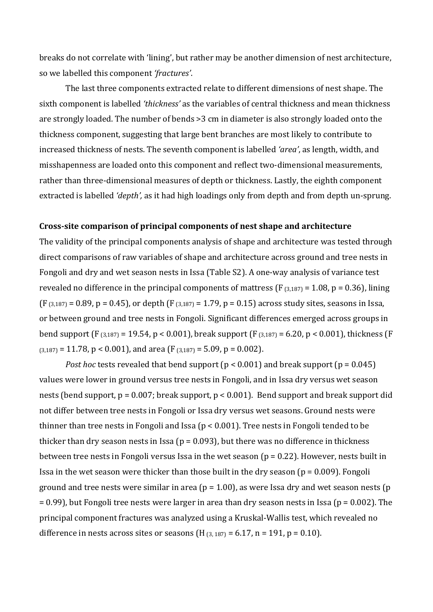breaks do not correlate with 'lining', but rather may be another dimension of nest architecture, so we labelled this component *'fractures'*.

The last three components extracted relate to different dimensions of nest shape. The sixth component is labelled *'thickness'* as the variables of central thickness and mean thickness are strongly loaded. The number of bends >3 cm in diameter is also strongly loaded onto the thickness component, suggesting that large bent branches are most likely to contribute to increased thickness of nests. The seventh component is labelled *'area'*, as length, width, and misshapenness are loaded onto this component and reflect two-dimensional measurements, rather than three-dimensional measures of depth or thickness. Lastly, the eighth component extracted is labelled *'depth',* as it had high loadings only from depth and from depth un-sprung.

## **Cross-site comparison of principal components of nest shape and architecture**

The validity of the principal components analysis of shape and architecture was tested through direct comparisons of raw variables of shape and architecture across ground and tree nests in Fongoli and dry and wet season nests in Issa (Table S2). A one-way analysis of variance test revealed no difference in the principal components of mattress ( $F_{(3,187)} = 1.08$ ,  $p = 0.36$ ), lining  $(F_{(3,187)} = 0.89, p = 0.45)$ , or depth  $(F_{(3,187)} = 1.79, p = 0.15)$  across study sites, seasons in Issa, or between ground and tree nests in Fongoli. Significant differences emerged across groups in bend support (F<sub>(3,187)</sub> = 19.54, p < 0.001), break support (F<sub>(3,187)</sub> = 6.20, p < 0.001), thickness (F  $(3,187) = 11.78$ , p < 0.001), and area (F $(3,187) = 5.09$ , p = 0.002).

*Post hoc* tests revealed that bend support ( $p < 0.001$ ) and break support ( $p = 0.045$ ) values were lower in ground versus tree nests in Fongoli, and in Issa dry versus wet season nests (bend support, p = 0.007; break support, p < 0.001). Bend support and break support did not differ between tree nests in Fongoli or Issa dry versus wet seasons. Ground nests were thinner than tree nests in Fongoli and Issa (p < 0.001). Tree nests in Fongoli tended to be thicker than dry season nests in Issa ( $p = 0.093$ ), but there was no difference in thickness between tree nests in Fongoli versus Issa in the wet season ( $p = 0.22$ ). However, nests built in Issa in the wet season were thicker than those built in the dry season ( $p = 0.009$ ). Fongoli ground and tree nests were similar in area ( $p = 1.00$ ), as were Issa dry and wet season nests ( $p$ )  $= 0.99$ ), but Fongoli tree nests were larger in area than dry season nests in Issa ( $p = 0.002$ ). The principal component fractures was analyzed using a Kruskal-Wallis test, which revealed no difference in nests across sites or seasons (H $_{(3, 187)} = 6.17$ , n = 191, p = 0.10).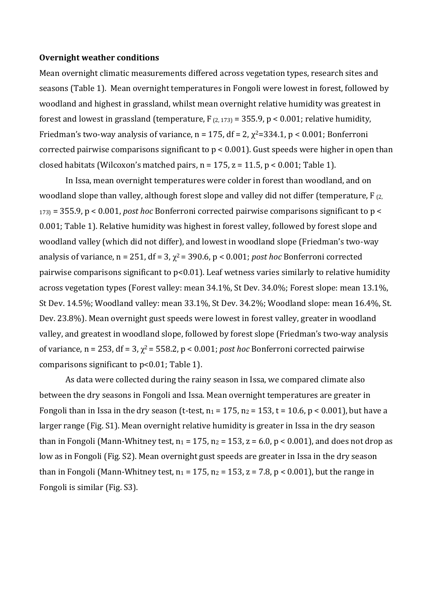#### **Overnight weather conditions**

Mean overnight climatic measurements differed across vegetation types, research sites and seasons (Table 1). Mean overnight temperatures in Fongoli were lowest in forest, followed by woodland and highest in grassland, whilst mean overnight relative humidity was greatest in forest and lowest in grassland (temperature,  $F(z, 173) = 355.9$ ,  $p < 0.001$ ; relative humidity, Friedman's two-way analysis of variance,  $n = 175$ , df = 2,  $\chi^2$ =334.1,  $p < 0.001$ ; Bonferroni corrected pairwise comparisons significant to p < 0.001). Gust speeds were higher in open than closed habitats (Wilcoxon's matched pairs,  $n = 175$ ,  $z = 11.5$ ,  $p < 0.001$ ; Table 1).

In Issa, mean overnight temperatures were colder in forest than woodland, and on woodland slope than valley, although forest slope and valley did not differ (temperature, F<sub>(2,</sub> 173) = 355.9, p < 0.001, *post hoc* Bonferroni corrected pairwise comparisons significant to p < 0.001; Table 1). Relative humidity was highest in forest valley, followed by forest slope and woodland valley (which did not differ), and lowest in woodland slope (Friedman's two-way analysis of variance, n = 251, df = 3, χ <sup>2</sup>= 390.6, p < 0.001; *post hoc* Bonferroni corrected pairwise comparisons significant to p<0.01). Leaf wetness varies similarly to relative humidity across vegetation types (Forest valley: mean 34.1%, St Dev. 34.0%; Forest slope: mean 13.1%, St Dev. 14.5%; Woodland valley: mean 33.1%, St Dev. 34.2%; Woodland slope: mean 16.4%, St. Dev. 23.8%). Mean overnight gust speeds were lowest in forest valley, greater in woodland valley, and greatest in woodland slope, followed by forest slope (Friedman's two-way analysis of variance,  $n = 253$ , df = 3,  $\chi^2$  = 558.2,  $p < 0.001$ ; *post hoc* Bonferroni corrected pairwise comparisons significant to p<0.01; Table 1).

As data were collected during the rainy season in Issa, we compared climate also between the dry seasons in Fongoli and Issa. Mean overnight temperatures are greater in Fongoli than in Issa in the dry season (t-test,  $n_1 = 175$ ,  $n_2 = 153$ ,  $t = 10.6$ ,  $p < 0.001$ ), but have a larger range (Fig. S1). Mean overnight relative humidity is greater in Issa in the dry season than in Fongoli (Mann-Whitney test,  $n_1 = 175$ ,  $n_2 = 153$ ,  $z = 6.0$ ,  $p < 0.001$ ), and does not drop as low as in Fongoli (Fig. S2). Mean overnight gust speeds are greater in Issa in the dry season than in Fongoli (Mann-Whitney test,  $n_1 = 175$ ,  $n_2 = 153$ ,  $z = 7.8$ ,  $p < 0.001$ ), but the range in Fongoli is similar (Fig. S3).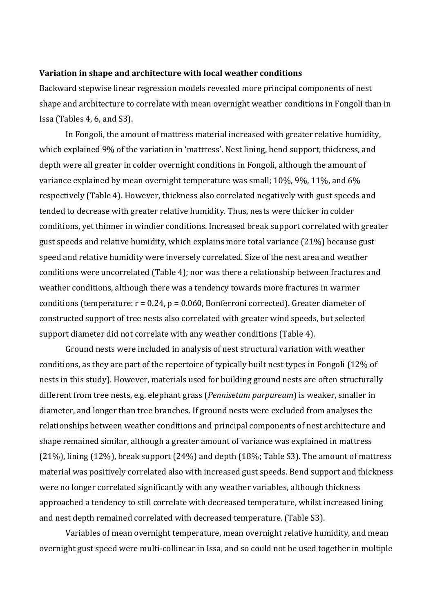#### **Variation in shape and architecture with local weather conditions**

Backward stepwise linear regression models revealed more principal components of nest shape and architecture to correlate with mean overnight weather conditions in Fongoli than in Issa (Tables 4, 6, and S3).

In Fongoli, the amount of mattress material increased with greater relative humidity, which explained 9% of the variation in 'mattress'. Nest lining, bend support, thickness, and depth were all greater in colder overnight conditions in Fongoli, although the amount of variance explained by mean overnight temperature was small; 10%, 9%, 11%, and 6% respectively (Table 4). However, thickness also correlated negatively with gust speeds and tended to decrease with greater relative humidity. Thus, nests were thicker in colder conditions, yet thinner in windier conditions. Increased break support correlated with greater gust speeds and relative humidity, which explains more total variance (21%) because gust speed and relative humidity were inversely correlated. Size of the nest area and weather conditions were uncorrelated (Table 4); nor was there a relationship between fractures and weather conditions, although there was a tendency towards more fractures in warmer conditions (temperature:  $r = 0.24$ ,  $p = 0.060$ , Bonferroni corrected). Greater diameter of constructed support of tree nests also correlated with greater wind speeds, but selected support diameter did not correlate with any weather conditions (Table 4).

Ground nests were included in analysis of nest structural variation with weather conditions, as they are part of the repertoire of typically built nest types in Fongoli (12% of nests in this study). However, materials used for building ground nests are often structurally different from tree nests, e.g. elephant grass (*Pennisetum purpureum*) is weaker, smaller in diameter, and longer than tree branches. If ground nests were excluded from analyses the relationships between weather conditions and principal components of nest architecture and shape remained similar, although a greater amount of variance was explained in mattress (21%), lining (12%), break support (24%) and depth (18%; Table S3). The amount of mattress material was positively correlated also with increased gust speeds. Bend support and thickness were no longer correlated significantly with any weather variables, although thickness approached a tendency to still correlate with decreased temperature, whilst increased lining and nest depth remained correlated with decreased temperature. (Table S3).

Variables of mean overnight temperature, mean overnight relative humidity, and mean overnight gust speed were multi-collinear in Issa, and so could not be used together in multiple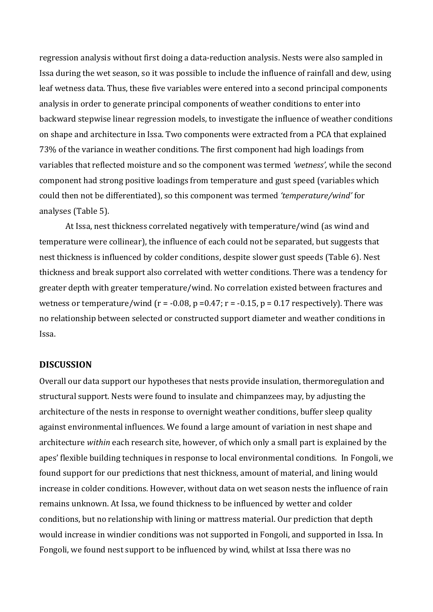regression analysis without first doing a data-reduction analysis. Nests were also sampled in Issa during the wet season, so it was possible to include the influence of rainfall and dew, using leaf wetness data. Thus, these five variables were entered into a second principal components analysis in order to generate principal components of weather conditions to enter into backward stepwise linear regression models, to investigate the influence of weather conditions on shape and architecture in Issa. Two components were extracted from a PCA that explained 73% of the variance in weather conditions. The first component had high loadings from variables that reflected moisture and so the component was termed *'wetness',* while the second component had strong positive loadings from temperature and gust speed (variables which could then not be differentiated), so this component was termed *'temperature/wind'* for analyses (Table 5).

At Issa, nest thickness correlated negatively with temperature/wind (as wind and temperature were collinear), the influence of each could not be separated, but suggests that nest thickness is influenced by colder conditions, despite slower gust speeds (Table 6). Nest thickness and break support also correlated with wetter conditions. There was a tendency for greater depth with greater temperature/wind. No correlation existed between fractures and wetness or temperature/wind ( $r = -0.08$ ,  $p = 0.47$ ;  $r = -0.15$ ,  $p = 0.17$  respectively). There was no relationship between selected or constructed support diameter and weather conditions in Issa.

# **DISCUSSION**

Overall our data support our hypotheses that nests provide insulation, thermoregulation and structural support. Nests were found to insulate and chimpanzees may, by adjusting the architecture of the nests in response to overnight weather conditions, buffer sleep quality against environmental influences. We found a large amount of variation in nest shape and architecture *within* each research site, however, of which only a small part is explained by the apes' flexible building techniques in response to local environmental conditions. In Fongoli, we found support for our predictions that nest thickness, amount of material, and lining would increase in colder conditions. However, without data on wet season nests the influence of rain remains unknown. At Issa, we found thickness to be influenced by wetter and colder conditions, but no relationship with lining or mattress material. Our prediction that depth would increase in windier conditions was not supported in Fongoli, and supported in Issa. In Fongoli, we found nest support to be influenced by wind, whilst at Issa there was no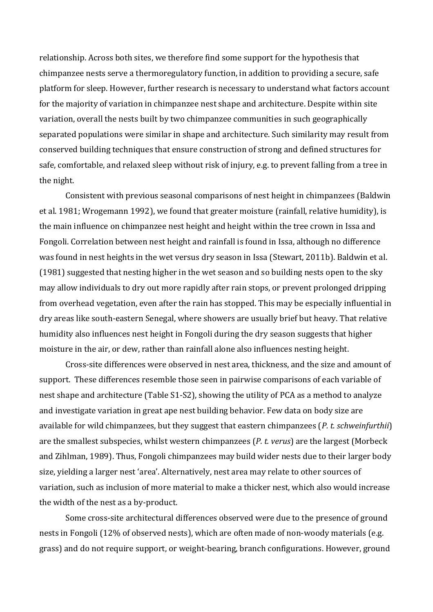relationship. Across both sites, we therefore find some support for the hypothesis that chimpanzee nests serve a thermoregulatory function, in addition to providing a secure, safe platform for sleep. However, further research is necessary to understand what factors account for the majority of variation in chimpanzee nest shape and architecture. Despite within site variation, overall the nests built by two chimpanzee communities in such geographically separated populations were similar in shape and architecture. Such similarity may result from conserved building techniques that ensure construction of strong and defined structures for safe, comfortable, and relaxed sleep without risk of injury, e.g. to prevent falling from a tree in the night.

Consistent with previous seasonal comparisons of nest height in chimpanzees (Baldwin et al. 1981; Wrogemann 1992), we found that greater moisture (rainfall, relative humidity), is the main influence on chimpanzee nest height and height within the tree crown in Issa and Fongoli. Correlation between nest height and rainfall is found in Issa, although no difference was found in nest heights in the wet versus dry season in Issa (Stewart, 2011b). Baldwin et al. (1981) suggested that nesting higher in the wet season and so building nests open to the sky may allow individuals to dry out more rapidly after rain stops, or prevent prolonged dripping from overhead vegetation, even after the rain has stopped. This may be especially influential in dry areas like south-eastern Senegal, where showers are usually brief but heavy. That relative humidity also influences nest height in Fongoli during the dry season suggests that higher moisture in the air, or dew, rather than rainfall alone also influences nesting height.

Cross-site differences were observed in nest area, thickness, and the size and amount of support. These differences resemble those seen in pairwise comparisons of each variable of nest shape and architecture (Table S1-S2), showing the utility of PCA as a method to analyze and investigate variation in great ape nest building behavior. Few data on body size are available for wild chimpanzees, but they suggest that eastern chimpanzees (*P. t. schweinfurthii*) are the smallest subspecies, whilst western chimpanzees (*P. t. verus*) are the largest (Morbeck and Zihlman, 1989). Thus, Fongoli chimpanzees may build wider nests due to their larger body size, yielding a larger nest 'area'. Alternatively, nest area may relate to other sources of variation, such as inclusion of more material to make a thicker nest, which also would increase the width of the nest as a by-product.

Some cross-site architectural differences observed were due to the presence of ground nests in Fongoli (12% of observed nests), which are often made of non-woody materials (e.g. grass) and do not require support, or weight-bearing, branch configurations. However, ground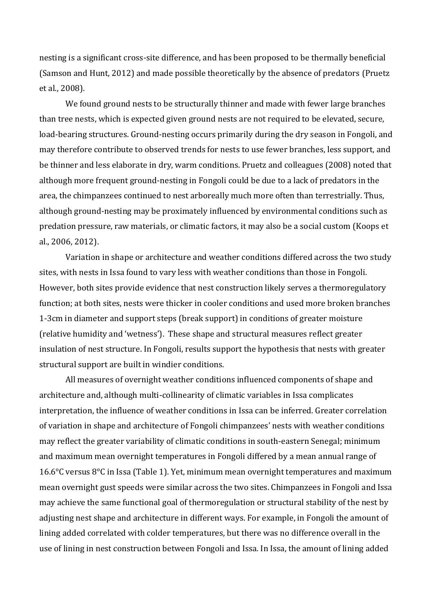nesting is a significant cross-site difference, and has been proposed to be thermally beneficial (Samson and Hunt, 2012) and made possible theoretically by the absence of predators (Pruetz et al., 2008).

We found ground nests to be structurally thinner and made with fewer large branches than tree nests, which is expected given ground nests are not required to be elevated, secure, load-bearing structures. Ground-nesting occurs primarily during the dry season in Fongoli, and may therefore contribute to observed trends for nests to use fewer branches, less support, and be thinner and less elaborate in dry, warm conditions. Pruetz and colleagues (2008) noted that although more frequent ground-nesting in Fongoli could be due to a lack of predators in the area, the chimpanzees continued to nest arboreally much more often than terrestrially. Thus, although ground-nesting may be proximately influenced by environmental conditions such as predation pressure, raw materials, or climatic factors, it may also be a social custom (Koops et al., 2006, 2012).

Variation in shape or architecture and weather conditions differed across the two study sites, with nests in Issa found to vary less with weather conditions than those in Fongoli. However, both sites provide evidence that nest construction likely serves a thermoregulatory function; at both sites, nests were thicker in cooler conditions and used more broken branches 1-3cm in diameter and support steps (break support) in conditions of greater moisture (relative humidity and 'wetness'). These shape and structural measures reflect greater insulation of nest structure. In Fongoli, results support the hypothesis that nests with greater structural support are built in windier conditions.

All measures of overnight weather conditions influenced components of shape and architecture and, although multi-collinearity of climatic variables in Issa complicates interpretation, the influence of weather conditions in Issa can be inferred. Greater correlation of variation in shape and architecture of Fongoli chimpanzees' nests with weather conditions may reflect the greater variability of climatic conditions in south-eastern Senegal; minimum and maximum mean overnight temperatures in Fongoli differed by a mean annual range of 16.6°C versus 8°C in Issa (Table 1). Yet, minimum mean overnight temperatures and maximum mean overnight gust speeds were similar across the two sites. Chimpanzees in Fongoli and Issa may achieve the same functional goal of thermoregulation or structural stability of the nest by adjusting nest shape and architecture in different ways. For example, in Fongoli the amount of lining added correlated with colder temperatures, but there was no difference overall in the use of lining in nest construction between Fongoli and Issa. In Issa, the amount of lining added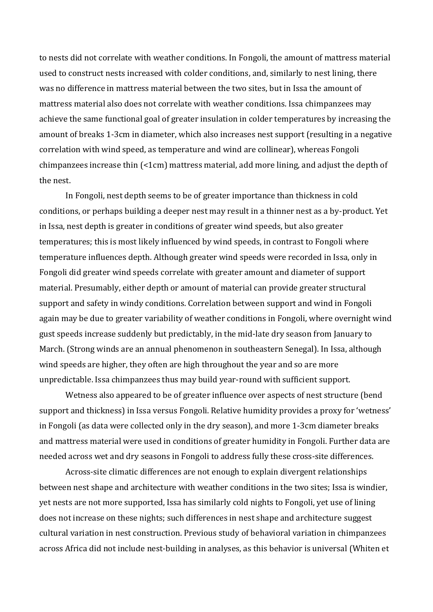to nests did not correlate with weather conditions. In Fongoli, the amount of mattress material used to construct nests increased with colder conditions, and, similarly to nest lining, there was no difference in mattress material between the two sites, but in Issa the amount of mattress material also does not correlate with weather conditions. Issa chimpanzees may achieve the same functional goal of greater insulation in colder temperatures by increasing the amount of breaks 1-3cm in diameter, which also increases nest support (resulting in a negative correlation with wind speed, as temperature and wind are collinear), whereas Fongoli chimpanzees increase thin (<1cm) mattress material, add more lining, and adjust the depth of the nest.

In Fongoli, nest depth seems to be of greater importance than thickness in cold conditions, or perhaps building a deeper nest may result in a thinner nest as a by-product. Yet in Issa, nest depth is greater in conditions of greater wind speeds, but also greater temperatures; this is most likely influenced by wind speeds, in contrast to Fongoli where temperature influences depth. Although greater wind speeds were recorded in Issa, only in Fongoli did greater wind speeds correlate with greater amount and diameter of support material. Presumably, either depth or amount of material can provide greater structural support and safety in windy conditions. Correlation between support and wind in Fongoli again may be due to greater variability of weather conditions in Fongoli, where overnight wind gust speeds increase suddenly but predictably, in the mid-late dry season from January to March. (Strong winds are an annual phenomenon in southeastern Senegal). In Issa, although wind speeds are higher, they often are high throughout the year and so are more unpredictable. Issa chimpanzees thus may build year-round with sufficient support.

Wetness also appeared to be of greater influence over aspects of nest structure (bend support and thickness) in Issa versus Fongoli. Relative humidity provides a proxy for 'wetness' in Fongoli (as data were collected only in the dry season), and more 1-3cm diameter breaks and mattress material were used in conditions of greater humidity in Fongoli. Further data are needed across wet and dry seasons in Fongoli to address fully these cross-site differences.

Across-site climatic differences are not enough to explain divergent relationships between nest shape and architecture with weather conditions in the two sites; Issa is windier, yet nests are not more supported, Issa has similarly cold nights to Fongoli, yet use of lining does not increase on these nights; such differences in nest shape and architecture suggest cultural variation in nest construction. Previous study of behavioral variation in chimpanzees across Africa did not include nest-building in analyses, as this behavior is universal (Whiten et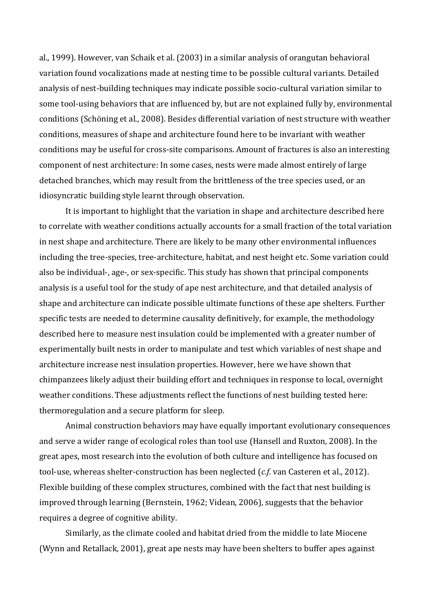al., 1999). However, van Schaik et al. (2003) in a similar analysis of orangutan behavioral variation found vocalizations made at nesting time to be possible cultural variants. Detailed analysis of nest-building techniques may indicate possible socio-cultural variation similar to some tool-using behaviors that are influenced by, but are not explained fully by, environmental conditions (Schöning et al., 2008). Besides differential variation of nest structure with weather conditions, measures of shape and architecture found here to be invariant with weather conditions may be useful for cross-site comparisons. Amount of fractures is also an interesting component of nest architecture: In some cases, nests were made almost entirely of large detached branches, which may result from the brittleness of the tree species used, or an idiosyncratic building style learnt through observation.

It is important to highlight that the variation in shape and architecture described here to correlate with weather conditions actually accounts for a small fraction of the total variation in nest shape and architecture. There are likely to be many other environmental influences including the tree-species, tree-architecture, habitat, and nest height etc. Some variation could also be individual-, age-, or sex-specific. This study has shown that principal components analysis is a useful tool for the study of ape nest architecture, and that detailed analysis of shape and architecture can indicate possible ultimate functions of these ape shelters. Further specific tests are needed to determine causality definitively, for example, the methodology described here to measure nest insulation could be implemented with a greater number of experimentally built nests in order to manipulate and test which variables of nest shape and architecture increase nest insulation properties. However, here we have shown that chimpanzees likely adjust their building effort and techniques in response to local, overnight weather conditions. These adjustments reflect the functions of nest building tested here: thermoregulation and a secure platform for sleep.

Animal construction behaviors may have equally important evolutionary consequences and serve a wider range of ecological roles than tool use (Hansell and Ruxton, 2008). In the great apes, most research into the evolution of both culture and intelligence has focused on tool-use, whereas shelter-construction has been neglected (*c.f.* van Casteren et al., 2012). Flexible building of these complex structures, combined with the fact that nest building is improved through learning (Bernstein, 1962; Videan, 2006), suggests that the behavior requires a degree of cognitive ability.

Similarly, as the climate cooled and habitat dried from the middle to late Miocene (Wynn and Retallack, 2001), great ape nests may have been shelters to buffer apes against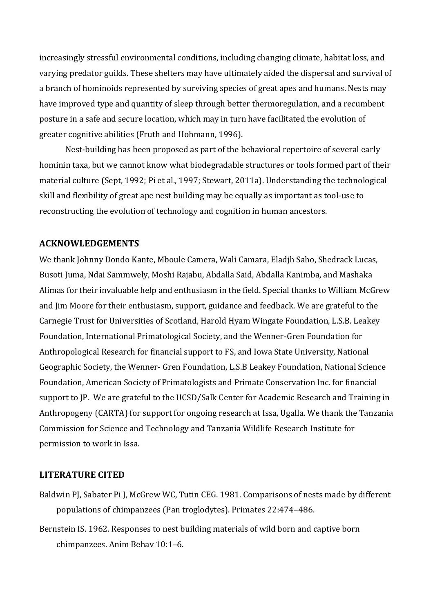increasingly stressful environmental conditions, including changing climate, habitat loss, and varying predator guilds. These shelters may have ultimately aided the dispersal and survival of a branch of hominoids represented by surviving species of great apes and humans. Nests may have improved type and quantity of sleep through better thermoregulation, and a recumbent posture in a safe and secure location, which may in turn have facilitated the evolution of greater cognitive abilities (Fruth and Hohmann, 1996).

Nest-building has been proposed as part of the behavioral repertoire of several early hominin taxa, but we cannot know what biodegradable structures or tools formed part of their material culture (Sept, 1992; Pi et al., 1997; Stewart, 2011a). Understanding the technological skill and flexibility of great ape nest building may be equally as important as tool-use to reconstructing the evolution of technology and cognition in human ancestors.

## **ACKNOWLEDGEMENTS**

We thank Johnny Dondo Kante, Mboule Camera, Wali Camara, Eladjh Saho, Shedrack Lucas, Busoti Juma, Ndai Sammwely, Moshi Rajabu, Abdalla Said, Abdalla Kanimba, and Mashaka Alimas for their invaluable help and enthusiasm in the field. Special thanks to William McGrew and Jim Moore for their enthusiasm, support, guidance and feedback. We are grateful to the Carnegie Trust for Universities of Scotland, Harold Hyam Wingate Foundation, L.S.B. Leakey Foundation, International Primatological Society, and the Wenner-Gren Foundation for Anthropological Research for financial support to FS, and Iowa State University, National Geographic Society, the Wenner‐ Gren Foundation, L.S.B Leakey Foundation, National Science Foundation, American Society of Primatologists and Primate Conservation Inc. for financial support to JP. We are grateful to the UCSD/Salk Center for Academic Research and Training in Anthropogeny (CARTA) for support for ongoing research at Issa, Ugalla. We thank the Tanzania Commission for Science and Technology and Tanzania Wildlife Research Institute for permission to work in Issa.

# **LITERATURE CITED**

- Baldwin PJ, Sabater Pi J, McGrew WC, Tutin CEG. 1981. Comparisons of nests made by different populations of chimpanzees (Pan troglodytes). Primates 22:474–486.
- Bernstein IS. 1962. Responses to nest building materials of wild born and captive born chimpanzees. Anim Behav 10:1–6.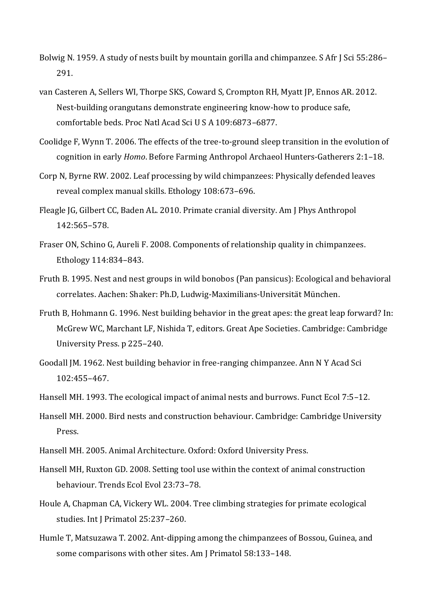- Bolwig N. 1959. A study of nests built by mountain gorilla and chimpanzee. S Afr J Sci 55:286– 291.
- van Casteren A, Sellers WI, Thorpe SKS, Coward S, Crompton RH, Myatt JP, Ennos AR. 2012. Nest-building orangutans demonstrate engineering know-how to produce safe, comfortable beds. Proc Natl Acad Sci U S A 109:6873–6877.
- Coolidge F, Wynn T. 2006. The effects of the tree-to-ground sleep transition in the evolution of cognition in early *Homo*. Before Farming Anthropol Archaeol Hunters-Gatherers 2:1–18.
- Corp N, Byrne RW. 2002. Leaf processing by wild chimpanzees: Physically defended leaves reveal complex manual skills. Ethology 108:673–696.
- Fleagle JG, Gilbert CC, Baden AL. 2010. Primate cranial diversity. Am J Phys Anthropol 142:565–578.
- Fraser ON, Schino G, Aureli F. 2008. Components of relationship quality in chimpanzees. Ethology 114:834–843.
- Fruth B. 1995. Nest and nest groups in wild bonobos (Pan pansicus): Ecological and behavioral correlates. Aachen: Shaker: Ph.D, Ludwig-Maximilians-Universität München.
- Fruth B, Hohmann G. 1996. Nest building behavior in the great apes: the great leap forward? In: McGrew WC, Marchant LF, Nishida T, editors. Great Ape Societies. Cambridge: Cambridge University Press. p 225–240.
- Goodall JM. 1962. Nest building behavior in free-ranging chimpanzee. Ann N Y Acad Sci 102:455–467.
- Hansell MH. 1993. The ecological impact of animal nests and burrows. Funct Ecol 7:5–12.
- Hansell MH. 2000. Bird nests and construction behaviour. Cambridge: Cambridge University Press.
- Hansell MH. 2005. Animal Architecture. Oxford: Oxford University Press.
- Hansell MH, Ruxton GD. 2008. Setting tool use within the context of animal construction behaviour. Trends Ecol Evol 23:73–78.
- Houle A, Chapman CA, Vickery WL. 2004. Tree climbing strategies for primate ecological studies. Int J Primatol 25:237–260.
- Humle T, Matsuzawa T. 2002. Ant-dipping among the chimpanzees of Bossou, Guinea, and some comparisons with other sites. Am J Primatol 58:133–148.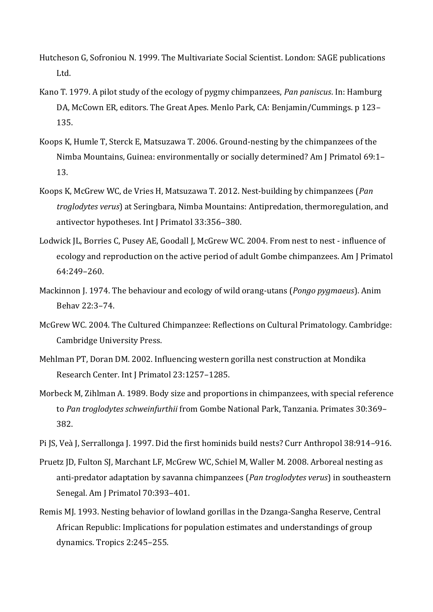- Hutcheson G, Sofroniou N. 1999. The Multivariate Social Scientist. London: SAGE publications Ltd.
- Kano T. 1979. A pilot study of the ecology of pygmy chimpanzees, *Pan paniscus*. In: Hamburg DA, McCown ER, editors. The Great Apes. Menlo Park, CA: Benjamin/Cummings. p 123– 135.
- Koops K, Humle T, Sterck E, Matsuzawa T. 2006. Ground-nesting by the chimpanzees of the Nimba Mountains, Guinea: environmentally or socially determined? Am J Primatol 69:1– 13.
- Koops K, McGrew WC, de Vries H, Matsuzawa T. 2012. Nest-building by chimpanzees (*Pan troglodytes verus*) at Seringbara, Nimba Mountains: Antipredation, thermoregulation, and antivector hypotheses. Int J Primatol 33:356–380.
- Lodwick JL, Borries C, Pusey AE, Goodall J, McGrew WC. 2004. From nest to nest influence of ecology and reproduction on the active period of adult Gombe chimpanzees. Am J Primatol 64:249–260.
- Mackinnon J. 1974. The behaviour and ecology of wild orang-utans (*Pongo pygmaeus*). Anim Behav 22:3–74.
- McGrew WC. 2004. The Cultured Chimpanzee: Reflections on Cultural Primatology. Cambridge: Cambridge University Press.
- Mehlman PT, Doran DM. 2002. Influencing western gorilla nest construction at Mondika Research Center. Int J Primatol 23:1257–1285.
- Morbeck M, Zihlman A. 1989. Body size and proportions in chimpanzees, with special reference to *Pan troglodytes schweinfurthii* from Gombe National Park, Tanzania. Primates 30:369– 382.
- Pi JS, Veà J, Serrallonga J. 1997. Did the first hominids build nests? Curr Anthropol 38:914–916.
- Pruetz JD, Fulton SJ, Marchant LF, McGrew WC, Schiel M, Waller M. 2008. Arboreal nesting as anti-predator adaptation by savanna chimpanzees (*Pan troglodytes verus*) in southeastern Senegal. Am J Primatol 70:393–401.
- Remis MJ. 1993. Nesting behavior of lowland gorillas in the Dzanga-Sangha Reserve, Central African Republic: Implications for population estimates and understandings of group dynamics. Tropics 2:245–255.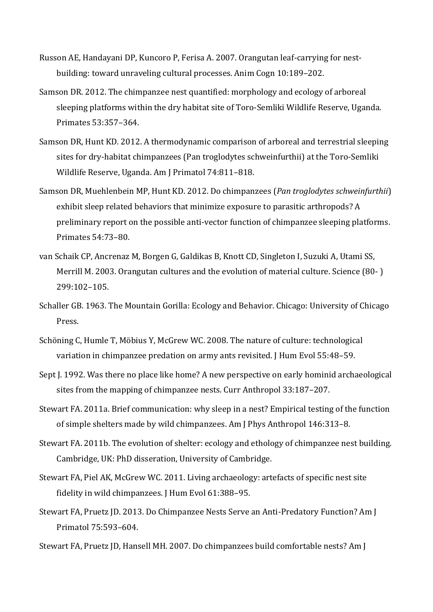- Russon AE, Handayani DP, Kuncoro P, Ferisa A. 2007. Orangutan leaf-carrying for nestbuilding: toward unraveling cultural processes. Anim Cogn 10:189–202.
- Samson DR. 2012. The chimpanzee nest quantified: morphology and ecology of arboreal sleeping platforms within the dry habitat site of Toro-Semliki Wildlife Reserve, Uganda. Primates 53:357–364.
- Samson DR, Hunt KD. 2012. A thermodynamic comparison of arboreal and terrestrial sleeping sites for dry-habitat chimpanzees (Pan troglodytes schweinfurthii) at the Toro-Semliki Wildlife Reserve, Uganda. Am J Primatol 74:811–818.
- Samson DR, Muehlenbein MP, Hunt KD. 2012. Do chimpanzees (*Pan troglodytes schweinfurthii*) exhibit sleep related behaviors that minimize exposure to parasitic arthropods? A preliminary report on the possible anti-vector function of chimpanzee sleeping platforms. Primates 54:73–80.
- van Schaik CP, Ancrenaz M, Borgen G, Galdikas B, Knott CD, Singleton I, Suzuki A, Utami SS, Merrill M. 2003. Orangutan cultures and the evolution of material culture. Science (80- ) 299:102–105.
- Schaller GB. 1963. The Mountain Gorilla: Ecology and Behavior. Chicago: University of Chicago Press.
- Schöning C, Humle T, Möbius Y, McGrew WC. 2008. The nature of culture: technological variation in chimpanzee predation on army ants revisited. J Hum Evol 55:48–59.
- Sept J. 1992. Was there no place like home? A new perspective on early hominid archaeological sites from the mapping of chimpanzee nests. Curr Anthropol 33:187–207.
- Stewart FA. 2011a. Brief communication: why sleep in a nest? Empirical testing of the function of simple shelters made by wild chimpanzees. Am J Phys Anthropol 146:313–8.
- Stewart FA. 2011b. The evolution of shelter: ecology and ethology of chimpanzee nest building. Cambridge, UK: PhD disseration, University of Cambridge.
- Stewart FA, Piel AK, McGrew WC. 2011. Living archaeology: artefacts of specific nest site fidelity in wild chimpanzees. J Hum Evol 61:388–95.
- Stewart FA, Pruetz JD. 2013. Do Chimpanzee Nests Serve an Anti-Predatory Function? Am J Primatol 75:593–604.
- Stewart FA, Pruetz JD, Hansell MH. 2007. Do chimpanzees build comfortable nests? Am J